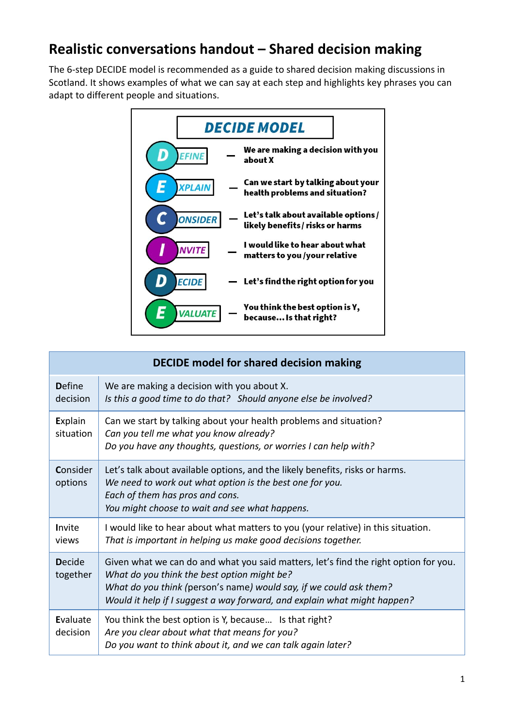## **Realistic conversations handout – Shared decision making**

The 6-step DECIDE model is recommended as a guide to shared decision making discussions in Scotland. It shows examples of what we can say at each step and highlights key phrases you can adapt to different people and situations.



| <b>DECIDE model for shared decision making</b> |                                                                                                                                                                                                                                                                                       |  |
|------------------------------------------------|---------------------------------------------------------------------------------------------------------------------------------------------------------------------------------------------------------------------------------------------------------------------------------------|--|
| <b>D</b> efine<br>decision                     | We are making a decision with you about X.<br>Is this a good time to do that? Should anyone else be involved?                                                                                                                                                                         |  |
| Explain<br>situation                           | Can we start by talking about your health problems and situation?<br>Can you tell me what you know already?<br>Do you have any thoughts, questions, or worries I can help with?                                                                                                       |  |
| Consider<br>options                            | Let's talk about available options, and the likely benefits, risks or harms.<br>We need to work out what option is the best one for you.<br>Each of them has pros and cons.<br>You might choose to wait and see what happens.                                                         |  |
| Invite<br>views                                | I would like to hear about what matters to you (your relative) in this situation.<br>That is important in helping us make good decisions together.                                                                                                                                    |  |
| <b>Decide</b><br>together                      | Given what we can do and what you said matters, let's find the right option for you.<br>What do you think the best option might be?<br>What do you think (person's name) would say, if we could ask them?<br>Would it help if I suggest a way forward, and explain what might happen? |  |
| Evaluate<br>decision                           | You think the best option is Y, because Is that right?<br>Are you clear about what that means for you?<br>Do you want to think about it, and we can talk again later?                                                                                                                 |  |